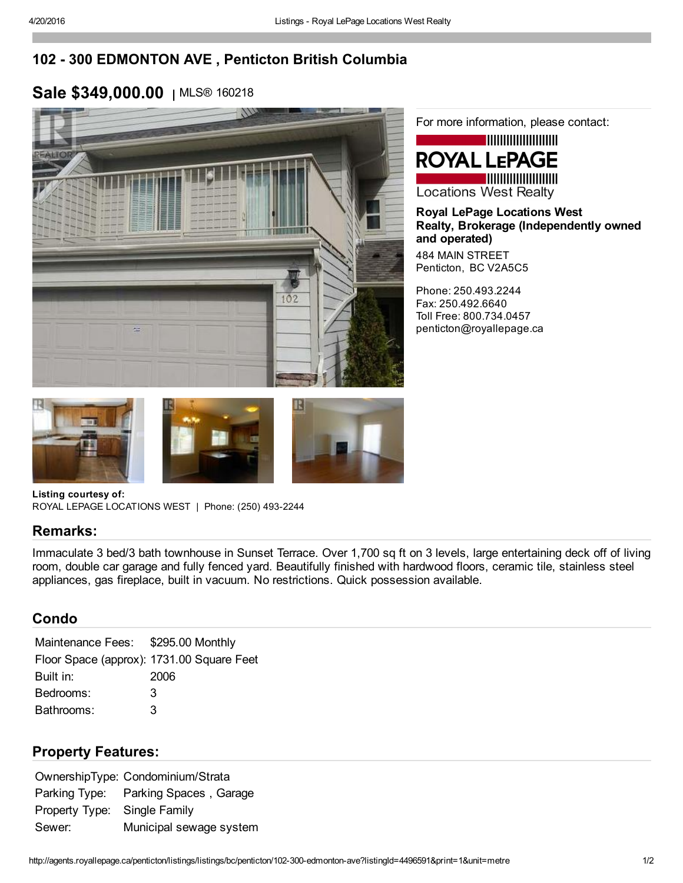# 102 300 EDMONTON AVE , Penticton British Columbia

# Sale \$349,000.00 | MLS® 160218



For more information, please contact:

### **ROYAL LEPAGE Locations West Realty**

Royal LePage Locations West Realty, Brokerage (Independently owned and operated) 484 MAIN STREET Penticton, BC V2A5C5

Phone: 250.493.2244 Fax: 250.492.6640 Toll Free: 800.734.0457 penticton@royallepage.ca







Listing courtesy of: ROYAL LEPAGE LOCATIONS WEST | Phone: (250) 493-2244

#### Remarks:

Immaculate 3 bed/3 bath townhouse in Sunset Terrace. Over 1,700 sq ft on 3 levels, large entertaining deck off of living room, double car garage and fully fenced yard. Beautifully finished with hardwood floors, ceramic tile, stainless steel appliances, gas fireplace, built in vacuum. No restrictions. Quick possession available.

#### Condo

Maintenance Fees: \$295.00 Monthly Floor Space (approx): 1731.00 Square Feet Built in: 2006 Bedrooms: 3 Bathrooms: 3

### Property Features:

OwnershipType: Condominium/Strata Parking Type: Parking Spaces , Garage Property Type: Single Family Sewer: Municipal sewage system